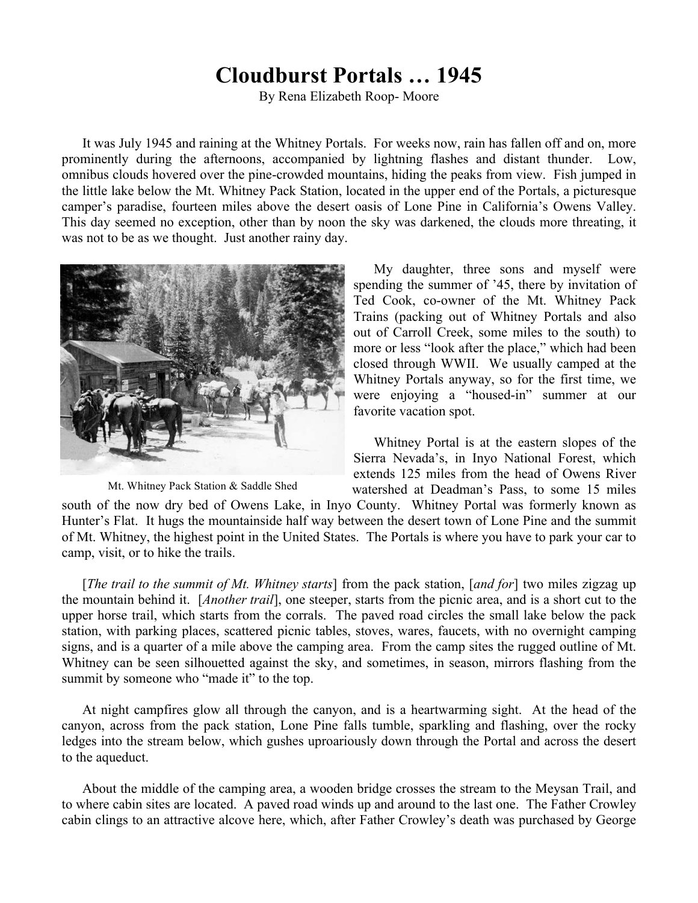## **Cloudburst Portals … 1945**

By Rena Elizabeth Roop- Moore

It was July 1945 and raining at the Whitney Portals. For weeks now, rain has fallen off and on, more prominently during the afternoons, accompanied by lightning flashes and distant thunder. Low, omnibus clouds hovered over the pine-crowded mountains, hiding the peaks from view. Fish jumped in the little lake below the Mt. Whitney Pack Station, located in the upper end of the Portals, a picturesque camper's paradise, fourteen miles above the desert oasis of Lone Pine in California's Owens Valley. This day seemed no exception, other than by noon the sky was darkened, the clouds more threating, it was not to be as we thought. Just another rainy day.



Mt. Whitney Pack Station & Saddle Shed

My daughter, three sons and myself were spending the summer of '45, there by invitation of Ted Cook, co-owner of the Mt. Whitney Pack Trains (packing out of Whitney Portals and also out of Carroll Creek, some miles to the south) to more or less "look after the place," which had been closed through WWII. We usually camped at the Whitney Portals anyway, so for the first time, we were enjoying a "housed-in" summer at our favorite vacation spot.

Whitney Portal is at the eastern slopes of the Sierra Nevada's, in Inyo National Forest, which extends 125 miles from the head of Owens River watershed at Deadman's Pass, to some 15 miles

south of the now dry bed of Owens Lake, in Inyo County. Whitney Portal was formerly known as Hunter's Flat. It hugs the mountainside half way between the desert town of Lone Pine and the summit of Mt. Whitney, the highest point in the United States. The Portals is where you have to park your car to camp, visit, or to hike the trails.

[*The trail to the summit of Mt. Whitney starts*] from the pack station, [*and for*] two miles zigzag up the mountain behind it. [*Another trail*], one steeper, starts from the picnic area, and is a short cut to the upper horse trail, which starts from the corrals. The paved road circles the small lake below the pack station, with parking places, scattered picnic tables, stoves, wares, faucets, with no overnight camping signs, and is a quarter of a mile above the camping area. From the camp sites the rugged outline of Mt. Whitney can be seen silhouetted against the sky, and sometimes, in season, mirrors flashing from the summit by someone who "made it" to the top.

At night campfires glow all through the canyon, and is a heartwarming sight. At the head of the canyon, across from the pack station, Lone Pine falls tumble, sparkling and flashing, over the rocky ledges into the stream below, which gushes uproariously down through the Portal and across the desert to the aqueduct.

About the middle of the camping area, a wooden bridge crosses the stream to the Meysan Trail, and to where cabin sites are located. A paved road winds up and around to the last one. The Father Crowley cabin clings to an attractive alcove here, which, after Father Crowley's death was purchased by George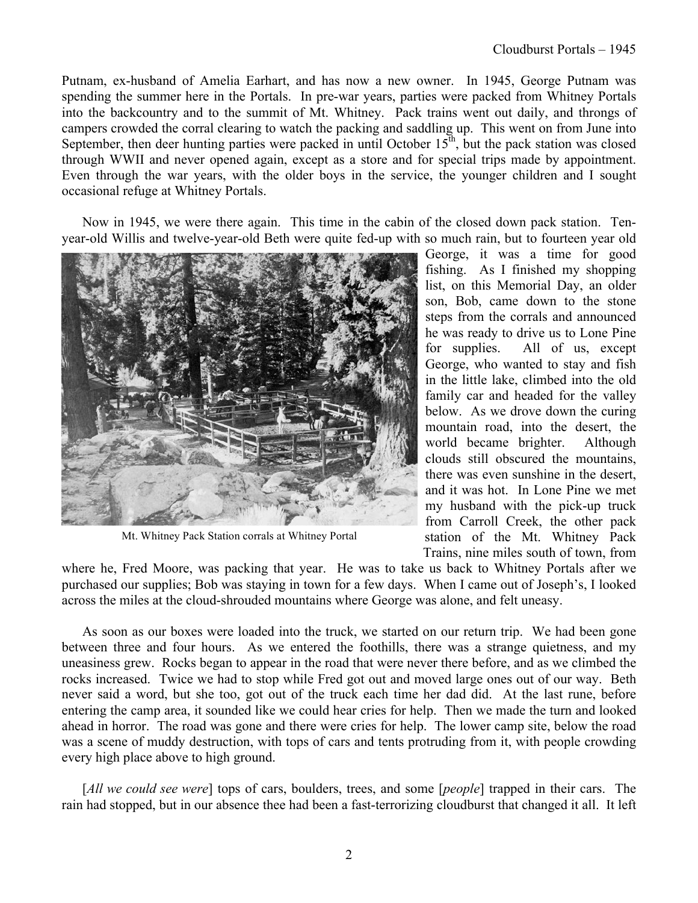Putnam, ex-husband of Amelia Earhart, and has now a new owner. In 1945, George Putnam was spending the summer here in the Portals. In pre-war years, parties were packed from Whitney Portals into the backcountry and to the summit of Mt. Whitney. Pack trains went out daily, and throngs of campers crowded the corral clearing to watch the packing and saddling up. This went on from June into September, then deer hunting parties were packed in until October  $15<sup>th</sup>$ , but the pack station was closed through WWII and never opened again, except as a store and for special trips made by appointment. Even through the war years, with the older boys in the service, the younger children and I sought occasional refuge at Whitney Portals.

Now in 1945, we were there again. This time in the cabin of the closed down pack station. Tenyear-old Willis and twelve-year-old Beth were quite fed-up with so much rain, but to fourteen year old



Mt. Whitney Pack Station corrals at Whitney Portal

George, it was a time for good fishing. As I finished my shopping list, on this Memorial Day, an older son, Bob, came down to the stone steps from the corrals and announced he was ready to drive us to Lone Pine for supplies. All of us, except George, who wanted to stay and fish in the little lake, climbed into the old family car and headed for the valley below. As we drove down the curing mountain road, into the desert, the world became brighter. Although clouds still obscured the mountains, there was even sunshine in the desert, and it was hot. In Lone Pine we met my husband with the pick-up truck from Carroll Creek, the other pack station of the Mt. Whitney Pack Trains, nine miles south of town, from

where he, Fred Moore, was packing that year. He was to take us back to Whitney Portals after we purchased our supplies; Bob was staying in town for a few days. When I came out of Joseph's, I looked across the miles at the cloud-shrouded mountains where George was alone, and felt uneasy.

As soon as our boxes were loaded into the truck, we started on our return trip. We had been gone between three and four hours. As we entered the foothills, there was a strange quietness, and my uneasiness grew. Rocks began to appear in the road that were never there before, and as we climbed the rocks increased. Twice we had to stop while Fred got out and moved large ones out of our way. Beth never said a word, but she too, got out of the truck each time her dad did. At the last rune, before entering the camp area, it sounded like we could hear cries for help. Then we made the turn and looked ahead in horror. The road was gone and there were cries for help. The lower camp site, below the road was a scene of muddy destruction, with tops of cars and tents protruding from it, with people crowding every high place above to high ground.

[All we could see were] tops of cars, boulders, trees, and some [people] trapped in their cars. The rain had stopped, but in our absence thee had been a fast-terrorizing cloudburst that changed it all. It left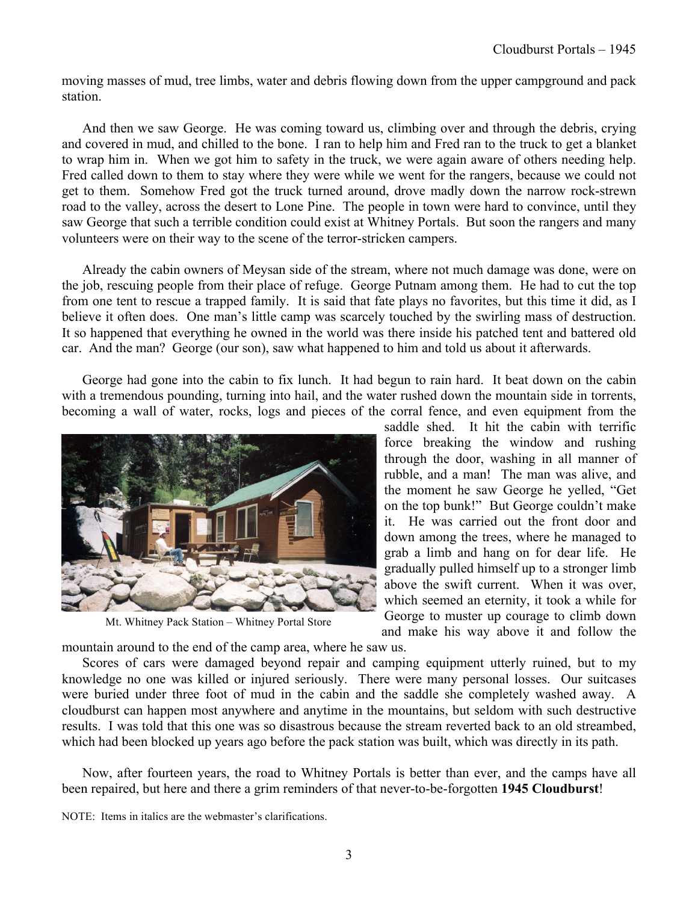moving masses of mud, tree limbs, water and debris flowing down from the upper campground and pack station.

And then we saw George. He was coming toward us, climbing over and through the debris, crying and covered in mud, and chilled to the bone. I ran to help him and Fred ran to the truck to get a blanket to wrap him in. When we got him to safety in the truck, we were again aware of others needing help. Fred called down to them to stay where they were while we went for the rangers, because we could not get to them. Somehow Fred got the truck turned around, drove madly down the narrow rock-strewn road to the valley, across the desert to Lone Pine. The people in town were hard to convince, until they saw George that such a terrible condition could exist at Whitney Portals. But soon the rangers and many volunteers were on their way to the scene of the terror-stricken campers.

Already the cabin owners of Meysan side of the stream, where not much damage was done, were on the job, rescuing people from their place of refuge. George Putnam among them. He had to cut the top from one tent to rescue a trapped family. It is said that fate plays no favorites, but this time it did, as I believe it often does. One man's little camp was scarcely touched by the swirling mass of destruction. It so happened that everything he owned in the world was there inside his patched tent and battered old car. And the man? George (our son), saw what happened to him and told us about it afterwards.

George had gone into the cabin to fix lunch. It had begun to rain hard. It beat down on the cabin with a tremendous pounding, turning into hail, and the water rushed down the mountain side in torrents, becoming a wall of water, rocks, logs and pieces of the corral fence, and even equipment from the



Mt. Whitney Pack Station – Whitney Portal Store

saddle shed. It hit the cabin with terrific force breaking the window and rushing through the door, washing in all manner of rubble, and a man! The man was alive, and the moment he saw George he yelled, "Get on the top bunk!" But George couldn't make it. He was carried out the front door and down among the trees, where he managed to grab a limb and hang on for dear life. He gradually pulled himself up to a stronger limb above the swift current. When it was over, which seemed an eternity, it took a while for George to muster up courage to climb down and make his way above it and follow the

mountain around to the end of the camp area, where he saw us.

Scores of cars were damaged beyond repair and camping equipment utterly ruined, but to my knowledge no one was killed or injured seriously. There were many personal losses. Our suitcases were buried under three foot of mud in the cabin and the saddle she completely washed away. A cloudburst can happen most anywhere and anytime in the mountains, but seldom with such destructive results. I was told that this one was so disastrous because the stream reverted back to an old streambed, which had been blocked up years ago before the pack station was built, which was directly in its path.

Now, after fourteen years, the road to Whitney Portals is better than ever, and the camps have all been repaired, but here and there a grim reminders of that never-to-be-forgotten **1945 Cloudburst**!

NOTE: Items in italics are the webmaster's clarifications.